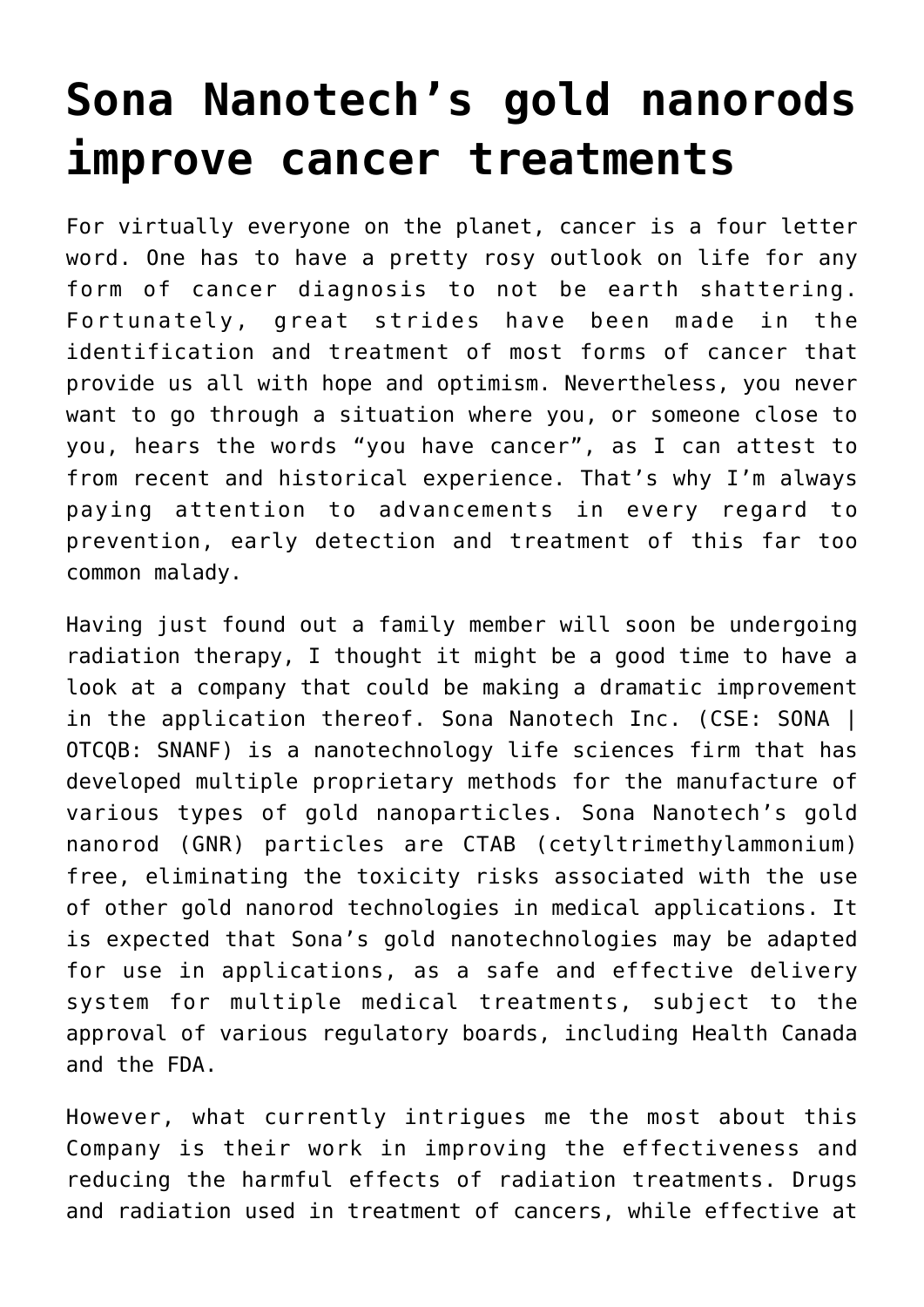## **[Sona Nanotech's gold nanorods](https://investorintel.com/markets/biotech-healthcare/biotech-intel/sona-nanotechs-gold-nanorods-improve-cancer-treatments/) [improve cancer treatments](https://investorintel.com/markets/biotech-healthcare/biotech-intel/sona-nanotechs-gold-nanorods-improve-cancer-treatments/)**

For virtually everyone on the planet, cancer is a four letter word. One has to have a pretty rosy outlook on life for any form of cancer diagnosis to not be earth shattering. Fortunately, great strides have been made in the identification and treatment of most forms of cancer that provide us all with hope and optimism. Nevertheless, you never want to go through a situation where you, or someone close to you, hears the words "you have cancer", as I can attest to from recent and historical experience. That's why I'm always paying attention to advancements in every regard to prevention, early detection and treatment of this far too common malady.

Having just found out a family member will soon be undergoing radiation therapy, I thought it might be a good time to have a look at a company that could be making a dramatic improvement in the application thereof. [Sona Nanotech Inc.](https://sonanano.com/) (CSE: SONA | OTCQB: SNANF) is a nanotechnology life sciences firm that has developed multiple proprietary methods for the manufacture of various types of gold nanoparticles. Sona Nanotech's gold nanorod (GNR) particles are CTAB (cetyltrimethylammonium) free, eliminating the toxicity risks associated with the use of other gold nanorod technologies in medical applications. It is expected that Sona's gold nanotechnologies may be adapted for use in applications, as a safe and effective delivery system for multiple medical treatments, subject to the approval of various regulatory boards, including Health Canada and the FDA.

However, what currently intrigues me the most about this Company is their work in improving the effectiveness and reducing the harmful effects of radiation treatments. Drugs and radiation used in treatment of cancers, while effective at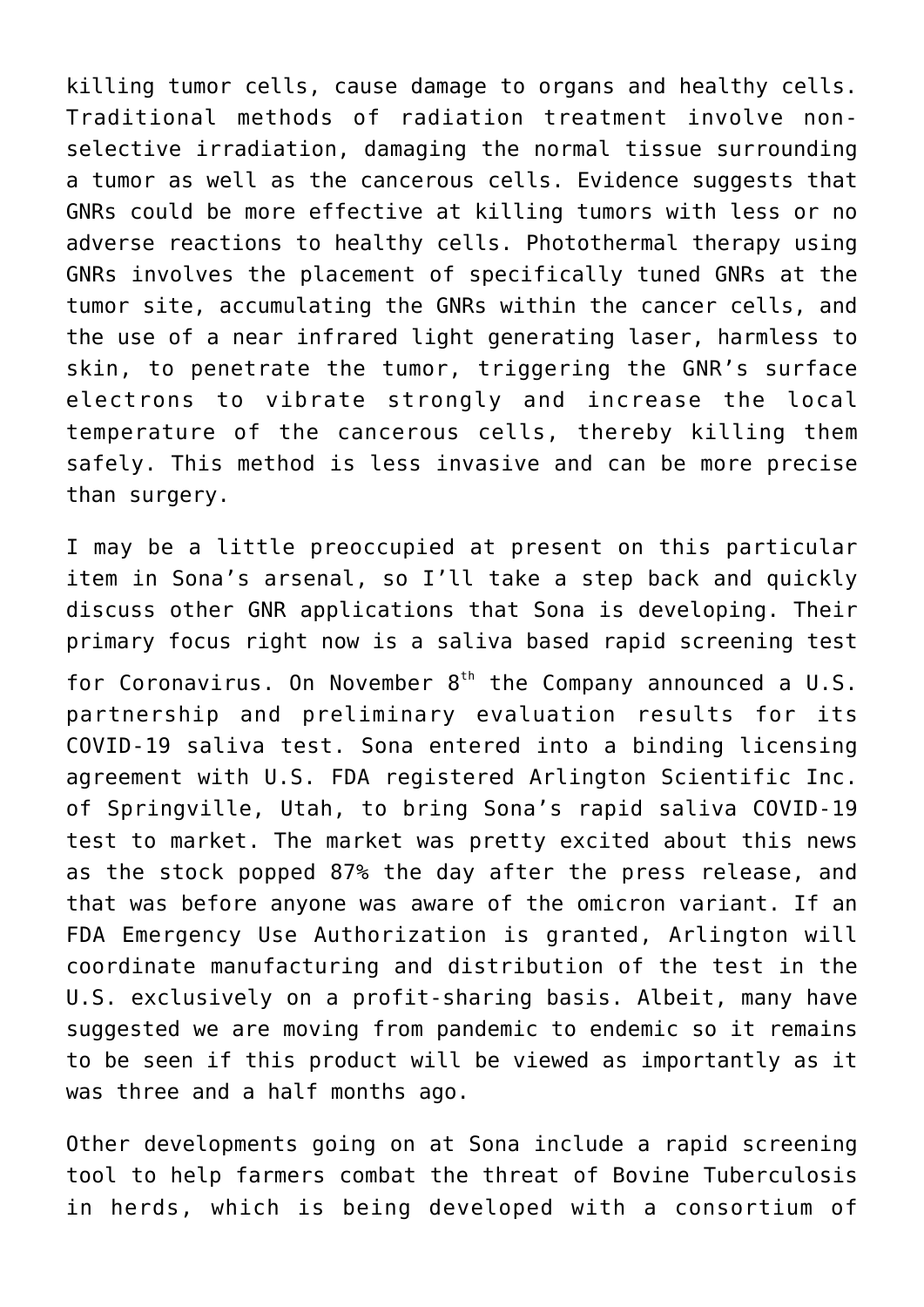killing tumor cells, cause damage to organs and healthy cells. Traditional methods of radiation treatment involve nonselective irradiation, damaging the normal tissue surrounding a tumor as well as the cancerous cells. Evidence suggests that GNRs could be more effective at killing tumors with less or no adverse reactions to healthy cells. Photothermal therapy using GNRs involves the placement of specifically tuned GNRs at the tumor site, accumulating the GNRs within the cancer cells, and the use of a near infrared light generating laser, harmless to skin, to penetrate the tumor, triggering the GNR's surface electrons to vibrate strongly and increase the local temperature of the cancerous cells, thereby killing them safely. This method is less invasive and can be more precise than surgery.

I may be a little preoccupied at present on this particular item in Sona's arsenal, so I'll take a step back and quickly discuss other GNR applications that Sona is developing. Their primary focus right now is a saliva based rapid screening test for Coronavirus. On November  $8<sup>th</sup>$  the Company announced a [U.S.](https://investorintel.com/markets/biotech-healthcare/biotech-news/sona-announces-u-s-partnership-and-preliminary-evaluation-results-for-its-covid-19-saliva-test/) [partnership and preliminary evaluation results](https://investorintel.com/markets/biotech-healthcare/biotech-news/sona-announces-u-s-partnership-and-preliminary-evaluation-results-for-its-covid-19-saliva-test/) for its COVID-19 saliva test. Sona entered into a binding licensing agreement with U.S. FDA registered Arlington Scientific Inc. of Springville, Utah, to bring Sona's rapid saliva COVID-19 test to market. The market was pretty excited about this news as the stock popped 87% the day after the press release, and that was before anyone was aware of the omicron variant. If an FDA Emergency Use Authorization is granted, Arlington will coordinate manufacturing and distribution of the test in the U.S. exclusively on a profit-sharing basis. Albeit, many have suggested we are moving from pandemic to endemic so it remains to be seen if this product will be viewed as importantly as it was three and a half months ago.

Other developments going on at Sona include a rapid screening tool to help farmers combat the threat of Bovine Tuberculosis in herds, which is being developed with a consortium of